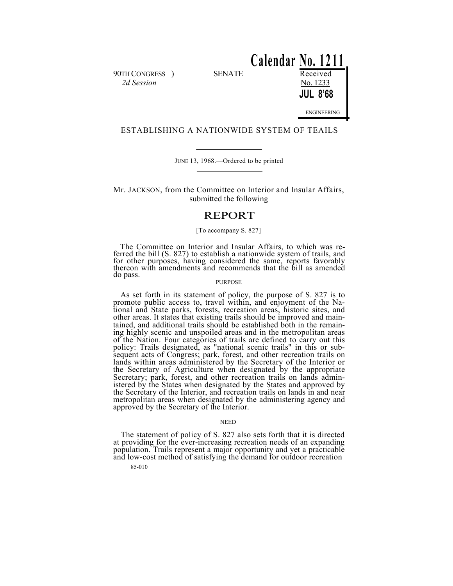90TH CONGRESS ) SENATE Received *2d Session* No. 1233

**Calendar No. 1211 JUL 8'68** ENGINEERING

# ESTABLISHING A NATIONWIDE SYSTEM OF TEAILS

JUNE 13, 1968.—Ordered to be printed

Mr. JACKSON, from the Committee on Interior and Insular Affairs, submitted the following

# REPORT

## [To accompany S. 827]

The Committee on Interior and Insular Affairs, to which was referred the bill (S. 827) to establish a nationwide system of trails, and for other purposes, having considered the same, reports favorably thereon with amendments and recommends that the bill as amended do pass.

## PURPOSE

As set forth in its statement of policy, the purpose of S. 827 is to promote public access to, travel within, and enjoyment of the National and State parks, forests, recreation areas, historic sites, and other areas. It states that existing trails should be improved and maintained, and additional trails should be established both in the remaining highly scenic and unspoiled areas and in the metropolitan areas of the Nation. Four categories of trails are defined to carry out this policy: Trails designated, as "national scenic trails" in this or subsequent acts of Congress; park, forest, and other recreation trails on lands within areas administered by the Secretary of the Interior or the Secretary of Agriculture when designated by the appropriate Secretary; park, forest, and other recreation trails on lands administered by the States when designated by the States and approved by the Secretary of the Interior, and recreation trails on lands in and near metropolitan areas when designated by the administering agency and approved by the Secretary of the Interior.

## NEED

The statement of policy of S. 827 also sets forth that it is directed at providing for the ever-increasing recreation needs of an expanding population. Trails represent a major opportunity and yet a practicable and low-cost method of satisfying the demand for outdoor recreation

85-010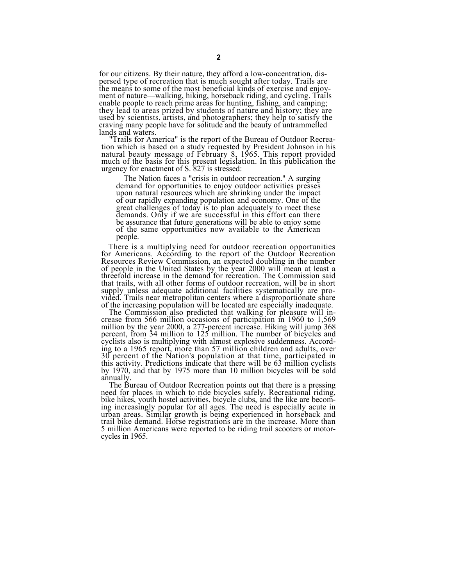for our citizens. By their nature, they afford a low-concentration, dis-<br>persed type of recreation that is much sought after today. Trails are the means to some of the most beneficial kinds of exercise and enjoyment of nature—walking, hiking, horseback riding, and cycling. Trails enable people to reach prime areas for hunting, fishing, and camping; they lead to areas prized by students of nature and history; they are<br>used by scientists, artists, and photographers; they help to satisfy the<br>craving many people have for solitude and the beauty of untrammelled lands and waters.

"Trails for America" is the report of the Bureau of Outdoor Recreanatural beauty message of February 8, 1965. This report provided<br>much of the basis for this present legislation. In this publication the<br>urgency for enactment of S. 827 is stressed:

The Nation faces a "crisis in outdoor recreation." A surging<br>demand for opportunities to enjoy outdoor activities presses<br>upon natural resources which are shrinking under the impact<br>of our rapidly expanding population and great challenges of today is to plan adequately to meet these demands. Only if we are successful in this effort can there be assurance that future generations will be able to enjoy some of the same opportunities now available to the American people.

There is a multiplying need for outdoor recreation opportunities for Americans. According to the report of the Outdoor Recreation for Americans. According to the report of the Outdoor Recreation Resources Review Commission, an expected doubling in the number of people in the United States by the year 2000 will mean at least a threefold increase in the demand for recreation. The Commission said that trails, with all other forms of outdoor recreation, will be in short supply unless adequate additional facilities systematically are provided. Trails near metropolitan centers where a disproportionate share of the increasing population will be located are especially inadequate.

of the increasing population will be located are especially inadequate. The Commission also predicted that walking for pleasure will in- crease from 566 million occasions of participation in 1960 to 1,569 million by the year 2000, a 277-percent increase. Hiking will jump 368 percent, from 34 million to 125 million. The number of bicycles and cyclists also is multiplying with almost explosive suddenness. Accord- ing to a 1965 report, more than 57 million children and adults, over 30 percent of the Nation's population at that time, participated in this activity. Predictions indicate that there will be 63 million cyclists by 1970, and that by 1975 more than 10 million bicycles will be sold

annually. The Bureau of Outdoor Recreation points out that there is a pressing need for places in which to ride bicycles safely. Recreational riding, bike hikes, youth hostel activities, bicycle clubs, and the like are becoming increasingly popular for all ages. The need is especially acute in urban areas. Similar growth is being experienced in horseback and trail bike demand. Horse registrations are in the increase. More than 5 million Americans were reported to be riding trail scooters or motorcycles in 1965.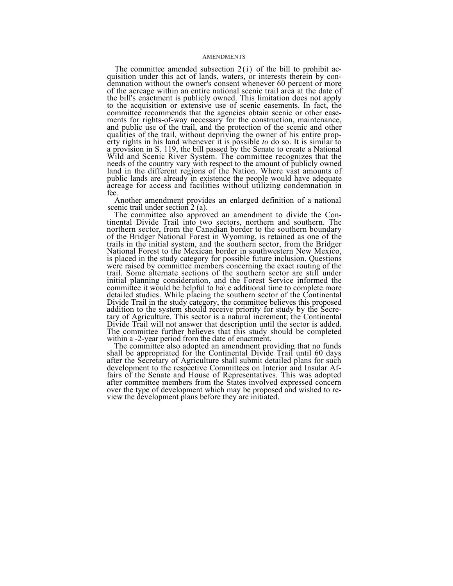## AMENDMENTS

The committee amended subsection 2(i) of the bill to prohibit ac- quisition under this act of lands, waters, or interests therein by condemnation without the owner's consent whenever 60 percent or more of the acreage within an entire national scenic trail area at the date of the bill's enactment is publicly owned. This limitation does not apply to the acquisition or extensive use of scenic easements. In fact, the committee recommends that the agencies obtain scenic or other easements for rights-of-way necessary for the construction, maintenance, and public use of the trail, and the protection of the scenic and other qualities of the trail, without depriving the owner of his entire property rights in his land whenever it is possible *to* do so. It is similar to a provision in S. 119, the bill passed by the Senate to create a National Wild and Scenic River System. The committee recognizes that the needs of the country vary with respect to the amount of publicly owned land in the different regions of the Nation. Where vast amounts of public lands are already in existence the people would have adequate acreage for access and facilities without utilizing condemnation in fee.

Another amendment provides an enlarged definition of a national

scenic trail under section 2 (a).<br>The committee also approved an amendment to divide the Con-The committee also approved an amendment to divide the Con- tinental Divide Trail into two sectors, northern and southern. The northern sector, from the Canadian border to the southern boundary of the Bridger National Forest in Wyoming, is retained as one of the of the Bridger National Forest in Wyoming, is retained as one of the trails in the initial system, and the southern sector, from the Bridger National Forest to the Mexican border in southwestern New Mexico, is placed in the study category for possible future inclusion. Questions were raised by committee members concerning the exact routing of the trail. Some alternate sections of the southern sector are still under initial planning consideration, and the Forest Service informed the committee it would be helpful to ha $\lambda$  e additional time to complete more detailed studies. While placing the southern sector of the Continental Divide Trail in the study category, the committee believes this proposed addition to the system should receive priority for study by the Secre-<br>tary of Agriculture. This sector is a natural increment; the Continental<br>Divide Trail will not answer that description until the sector is added.

The committee further believes that this study should be completed<br>within a -2-year period from the date of enactment.<br>The committee also adopted an amendment providing that no funds<br>shall be appropriated for the Continent development to the respective Committees on Interior and Insular Affairs of the Senate and House of Representatives. This was adopted after committee members from the States involved expressed concern over the type of development which may be proposed and wished to re- view the development plans before they are initiated.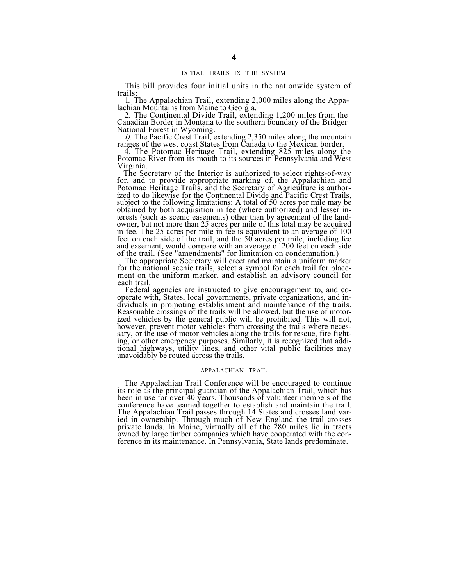## IXITIAL TRAILS IX THE SYSTEM

This bill provides four initial units in the nationwide system of trails:

1. The Appalachian Trail, extending 2,000 miles along the Appalachian Mountains from Maine to Georgia.<br>2. The Continental Divide Trail, extending 1,200 miles from the Canadian Border in Montana to the southern boundary of

National Forest in Wyoming.<br> *I)*. The Pacific Crest Trail, extending 2,350 miles along the mountain ranges of the west coast States from Canada to the Mexican border.<br>
4. The Potomac Heritage Trail, extending 825 miles al

Potomac River from its mouth to its sources in Pennsylvania and West Virginia.

The Secretary of the Interior is authorized to select rights-of-way for, and to provide appropriate marking of, the Appalachian and Potomac Heritage Trails, and the Secretary of Agriculture is authorized to do likewise for the Continental Divide and Pacific Crest Trails, subject to the following limitations: A total of 50 acres per mile may be obtained by both acquisition in fee (where authorized) and lesser in- terests (such as scenic easements) other than by agreement of the landowner, but not more than 25 acres per mile of this total may be acquired<br>in fee. The 25 acres per mile in fee is equivalent to an average of 100<br>feet on each side of the trail, and the 50 acres per mile, including fee of the trail. (See "amendments'' for limitation on condemnation.) The appropriate Secretary will erect and maintain a uniform marker

for the national scenic trails, select a symbol for each trail for place-<br>ment on the uniform marker, and establish an advisory council for<br>each trail.

Federal agencies are instructed to give encouragement to, and co-<br>operate with, States, local governments, private organizations, and individuals in promoting establishment and maintenance of the trails. Reasonable crossings of the trails will be allowed, but the use of motorized vehicles by the general public will be prohibited. This will not, however, prevent motor vehicles from crossing the trails where neceshowever, prevent motor vehicles from crossing the trails where necessary, or the use of motor vehicles along the trails for rescue, fire fighting, or other emergency purposes. Similarly, it is recognized that additional highways, utility lines, and other vital public facilities may unavoidably be routed across the trails.

### APPALACHIAN TRAIL

The Appalachian Trail Conference will be encouraged to continue its role as the principal guardian of the Appalachian Trail, which has been in use for over 40 years. Thousands of volunteer members of the conference have teamed together to establish and maintain the trail. The Appalachian Trail passes through 14 States and crosses land varied in ownership. Through much of New England the trail crosses private lands. In Maine, virtually all of the 280 miles lie in tracts owned by large timber companies which have cooperated with the conference in its maintenance. In Pennsylvania, State lands predominate.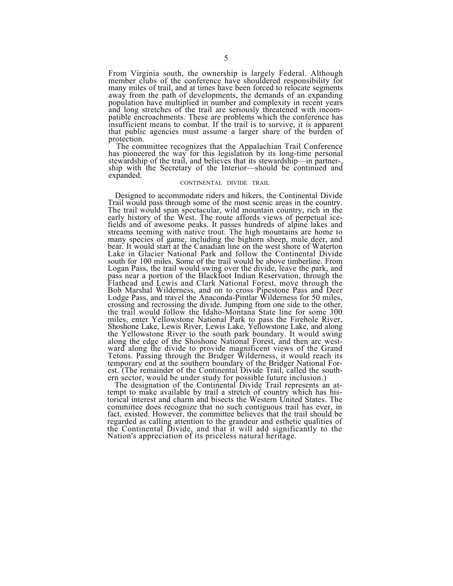From Virginia south, the ownership is largely Federal. Although member clubs of the conference have shouldered responsibility for many miles of trail, and at times have been forced to relocate segments away from the path of developments, the demands of an expanding population have multiplied in number and complexity in recent years and long stretches of the trail are seriously threatened with incompatible encroachments. These are problems which the conference has insufficient means to combat. If the trail is to survive, it is apparent that public agencies must assume a larger share of the burden of protection. The committee recognizes that the Appalachian Trail Conference

has pioneered the way for this legislation by its long-time personal stewardship of the trail, and believes that its stewardship—in partner-, ship with the Secretary of the Interior—should be continued and expanded.

## CONTINENTAL DIVIDE TRAIL

Designed to accommodate riders and hikers, the Continental Divide Trail would pass through some of the most scenic areas in the country. Trail would pass through some of the most scenic areas in the country. The trail would span spectacular, wild mountain country, rich in the early history of the West. The route affords views of perpetual icefields and of awesome peaks. It passes hundreds of alpine lakes and streams teeming with native trout. The high mountains are home to many species of game, including the bighorn sheep, mule deer, and bear. It would start at the Canadian line on the west shore of Waterton Lake in Glacier National Park and follow the Continental Divide south for 100 miles. Some of the trail would be above timberline. From Logan Pass, the trail would swing over the divide, leave the park, and pass near a portion of the Blackfoot Indian Reservation, through the Flathead and Lewis and Clark National Forest, move through the Bob Marshal Wilderness, and on to cross Pipestone Pass and Deer Lodge Pass, and travel the Anaconda-Pintlar Wilderness for 50 miles, crossing and recrossing the divide. Jumping from one side to the other, the trail would follow the Idaho-Montana State line for some 300 miles, enter Yellowstone National Park to pass the Firehole River, Shoshone Lake, Lewis River, Lewis Lake, Yellowstone Lake, and along the Yellowstone River to the south park boundary. It would swing along the edge of the Shoshone National Forest, and then arc westward along the divide to provide magnificent views of the Grand Tetons. Passing through the Bridger Wilderness, it would reach its temporary end at the southern boundary of the Bridger National Forest. (The remainder of the Continental Divide Trail, called the southern sector, would be under study for possible future inclusion.)

The designation of the Continental Divide Trail represents an attempt to make available by trail a stretch of country which has historical interest and charm and bisects the Western United States. The committee does recognize that no such contiguous trail has ever, in fact, existed. However, the committee believes that the trail should be regarded as calling attention to the grandeur and esthetic qualities of the Continental Divide, and that it will add significantly to the Nation's appreciation of its priceless natural heritage.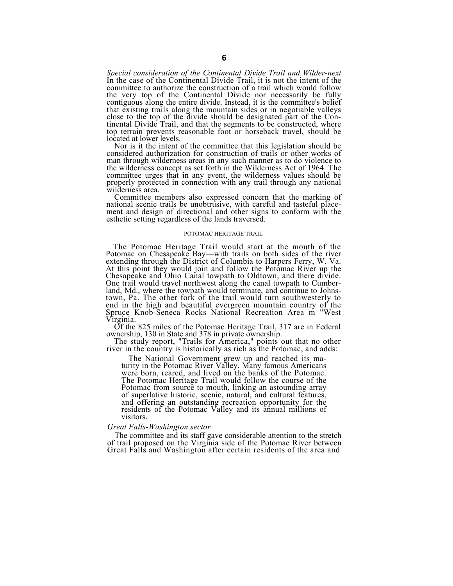*Special consideration of the Continental Divide Trail and Wilder-next*  In the case of the Continental Divide Trail, it is not the intent of the committee to authorize the construction of a trail which would follow the very top of the Continental Divide nor necessarily be fully contiguous along the entire divide. Instead, it is the committee's belief that existing trails along the mountain sides or in negotiable valleys close to the top of the divide should be designated part of the Con- tinental Divide Trail, and that the segments to be constructed, where top terrain prevents reasonable foot or horseback travel, should be located at lower levels.<br>Nor is it the intent of the committee that this legislation should be

considered authorization for construction of trails or other works of man through wilderness areas in any such manner as to do violence to the wilderness concept as set forth in the Wilderness Act of 1964. The committee urges that in any event, the wilderness values should be properly protected in connection with any trail through any national wilderness area.

Committee members also expressed concern that the marking of national scenic trails be unobtrusive, with careful and tasteful place- ment and design of directional and other signs to conform with the esthetic setting regardless of the lands traversed.

#### POTOMAC HERITAGE TRAIL

The Potomac Heritage Trail would start at the mouth of the Potomac on Chesapeake Bay—with trails on both sides of the river extending through the District of Columbia to Harpers Ferry, W. Va. At this point they would join and follow the Potomac River up the Chesapeake and Ohio Canal towpath to Oldtown, and there divide. One trail would travel northwest along the canal towpath to Cumberland, Md., where the towpath would terminate, and continue to Johnstown, Pa. The other fork of the trail would turn southwesterly to end in the high and beautiful evergreen mountain country of the Spruce Knob-Seneca Rocks National Recreation Area m "West

Virginia.<br>
Of the 825 miles of the Potomac Heritage Trail, 317 are in Federal<br>
ownership, 130 in State and 378 in private ownership.<br>
The study report, "Trails for America," points out that no other<br>
river in the country i

The National Government grew up and reached its maturity in the Potomac River Valley. Many famous Americans were born, reared, and lived on the banks of the Potomac. The Potomac Heritage Trail would follow the course of the Potomac from source to mouth, linking an astounding array of superlative historic, scenic, natural, and cultural features, and offering an outstanding recreation opportunity for the residents of the Potomac Valley and its annual millions of visitors.

## *Great Falls-Washington sector*

The committee and its staff gave considerable attention to the stretch of trail proposed on the Virginia side of the Potomac River between Great Falls and Washington after certain residents of the area and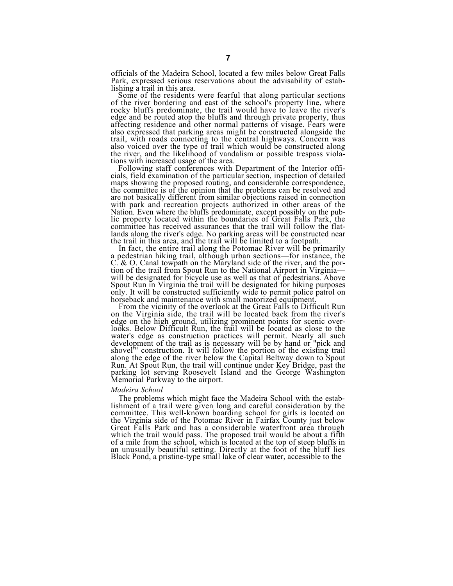officials of the Madeira School, located a few miles below Great Falls Park, expressed serious reservations about the advisability of establishing a trail in this area.

Some of the residents were fearful that along particular sections of the river bordering and east of the school's property line, where rocky bluffs predominate, the trail would have to leave the river's edge and be routed atop the bluffs and through private property, thus affecting residence and other normal patterns of visage. Fears were also expressed that parking areas might be constructed alongside the trail, with roads connecting to the central highways. Concern was the river, and the likelihood of vandalism or possible trespass viola-<br>tions with increased usage of the area.<br>Following staff conferences with Department of the Interior offi-<br>cials, field examination of the particular se

maps showing the proposed routing, and considerable correspondence, the committee is of the opinion that the problems can be resolved and are not basically different from similar objections raised in connection with park and recreation projects authorized in other areas of the Nation. Even where the bluffs predominate, except possibly on the public property located within the boundaries of Great Falls Park, the committee has received assurances that the trail will follow the flatlands along the river's edge. No parking areas will be constructed near<br>the trail in this area, and the trail will be limited to a footpath.<br>In fact, the entire trail along the Potomac River will be primarily<br>a pedestrian

C. & O. Canal towpath on the Maryland side of the river, and the portion of the trail from Spout Run to the National Airport in Virginia—<br>will be designated for bicycle use as well as that of pedestrians. Above will be designated for bicycle use as well as that of pedestrians. Above Spout Run in Virginia the trail will be designated for hiking purposes only. It will be constructed sufficiently wide to permit police patrol on horseback and maintenance with small motorized equipment.<br>From the vicinity of the overlook at the Great Falls to Difficult Run<br>on the Virginia side

on the Virginia side, the trail will be located back from the river's edge on the high ground, utilizing prominent points for scenic over-<br>looks. Below Difficult Run, the trail will be located as close to the water's edge as construction practices will permit. Nearly all such development of the trail as is necessary will be by hand or "pick and shovel" construction. It will follow the portion of the existing trail along the edg Run. At Spout Run, the trail will continue under Key Bridge, past the parking lot serving Roosevelt Island and the George Washington Memorial Parkway to the airport.

*Madeira School* lishment of a trail were given long and careful consideration by the committee. This well-known boarding school for girls is located on the Virginia side of the Potomac River in Fairfax County just below Great Falls Park and has a considerable waterfront area through which the trail would pass. The proposed trail would be about a fifth of a mile from the school, which is located at the top of steep bluffs in an unusually beautiful setting. Directly at the foot of the bluff lies Black Pond, a pristine-type small lake of clear water, accessible to the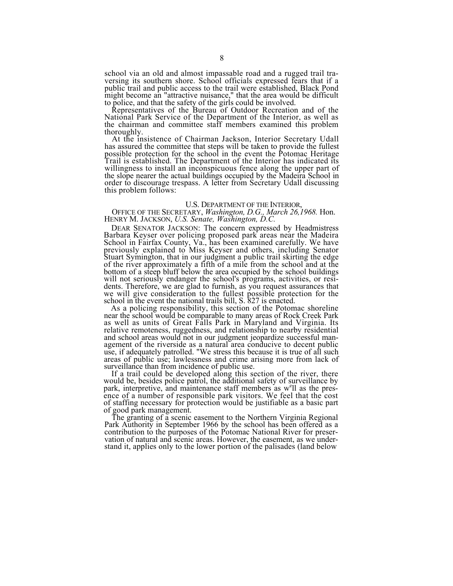school via an old and almost impassable road and a rugged trail tra- versing its southern shore. School officials expressed fears that if a public trail and public access to the trail were established, Black Pond might become an "attractive nuisance," that the area would be difficult to police, and that the safety of the girls could be involved.

Representatives of the Bureau of Outdoor Recreation and of the National Park Service of the Department of the Interior, as well as the chairman and committee staff members examined this problem thoroughly. At the insistence of Chairman Jackson, Interior Secretary Udall has assured the committee that steps will be taken to provide the fullest

possible protection for the school in the event the Potomac Heritage Trail is established. The Department of the Interior has indicated its willingness to install an inconspicuous fence along the upper part of the slope nearer the actual buildings occupied by the Madeira School in order to discourage trespass. A letter from Secretary Udall discussing this prob

U.S. DEPARTMENT OF THE INTERIOR, OFFICE OF THE SECRETARY, *Washington, D.G., March 26,1968.* Hon. HENRY M. JACKSON, *U.S. Senate, Washington, D.C.*

DEAR SENATOR JACKSON: The concern expressed by Headmistress Barbara Keyser over policing proposed park areas near the Madeira School in Fairfax County, Va., has been examined carefully. We have previously explained to Miss Keyser and others, including Senator Stuart Symington, that in our judgment a public trail skirting the edge of the river approximately a fifth of a mile from the school and at the bottom of a steep bluff below the area occupied by the school buildings will not seriously endanger the school's programs, activities, or residents. Therefore, we are glad to furnish, as you request assurances that we will give consideration to the fullest possible protection for the school in the event the national trails bill, S. 827 is enacted.

As a policing responsibility, this section of the Potomac shoreline near the school would be comparable to many areas of Rock Creek Park as well as units of Great Falls Park in Maryland and Virginia. Its relative remoteness, ruggedness, and relationship to nearby residential and school areas would not in our judgment jeopardize successful management of the riverside as a natural area conducive to decent public use, if adequately patrolled. "We stress this because it is true of all such areas of public use; lawlessness and crime arising more from lack of

surveillance than from incidence of public use.<br>If a trail could be developed along this section of the river, there<br>would be, besides police patrol, the additional safety of surveillance by park, interpretive, and maintenance staff members as w<sup>e</sup>ll as the presence of a number of responsible park visitors. We feel that the cost of staffing necessary for protection would be justifiable as a basic part

The granting of a scenic easement to the Northern Virginia Regional Park Authority in September 1966 by the school has been offered as a contribution to the purposes of the Potomac National River for preservation of natural and scenic areas. However, the easement, as we understand it, applies only to the lower portion of the palisades (land below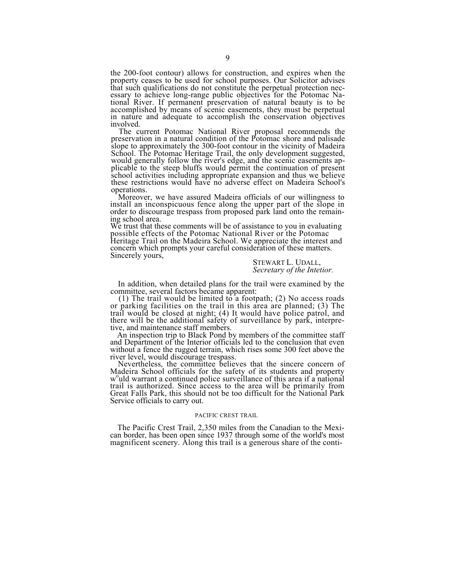the 200-foot contour) allows for construction, and expires when the property ceases to be used for school purposes. Our Solicitor advises that such qualifications do not constitute the perpetual protection necessary to achieve long-range public objectives for the Potomac National River. If permanent preservation of natural beauty is to be accomplished by means of scenic easements, they must be perpetual in nature and adequate t

involved.<br>The current Potomac National River proposal recommends the preservation in a natural condition of the Potomac shore and palisade slope to approximately the 300-foot contour in the vicinity of Madeira School. The Potomac Heritage Trail, the only development suggested, would generally follow the river's edge, and the scenic easements applicable to the steep bluffs would permit the continuation of present school activities including appropriate expansion and thus we believe these restrictions would have no adverse effect on Madeira School's operations.

Moreover, we have assured Madeira officials of our willingness to install an inconspicuous fence along the upper part of the slope in order to discourage trespass from proposed park land onto the remaining school area.

We trust that these comments will be of assistance to you in evaluating possible effects of the Potomac National River or the Potomac

Heritage Trail on the Madeira School. We appreciate the interest and concern which prompts your careful consideration of these matters. Sincerely yours,

STEWART L. UDALL, *Secretary of the Intetior.*

In addition, when detailed plans for the trail were examined by the committee, several factors became apparent:<br>(1) The trail would be limited to a footpath; (2) No access roads or parking facilities on the trail in this a

trail would be closed at night; (4) It would have police patrol, and there will be the additional safety of surveillance by park, interpre-

tive, and maintenance staff members.<br>An inspection trip to Black Pond by members of the committee staff and Department of the Interior officials led to the conclusion that even without a fence the rugged terrain, which rises some 300 feet above the river level, would discourage trespass.

Nevertheless, the committee believes that the sincere concern of Madeira School officials for the safety of its students and property w<sup>o</sup>uld warrant a continued police surveillance of this area if a national trail is authorized. Since access to the area will be primarily from Great Falls Park, this should not be too difficult for the National Park Service officials to carry out.

## PACIFIC CREST TRAIL

The Pacific Crest Trail, 2,350 miles from the Canadian to the Mexican border, has been open since 1937 through some of the world's most magnificent scenery. Along this trail is a generous share of the conti-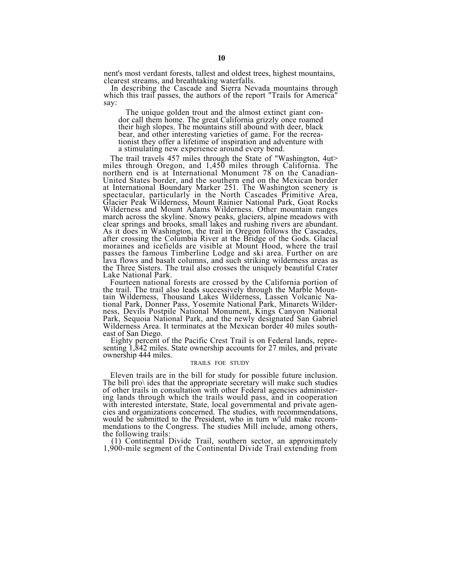nent's most verdant forests, tallest and oldest trees, highest mountains, clearest streams, and breathtaking waterfalls.

In describing the Cascade and Sierra Nevada mountains through which this trail passes, the authors of the report "Trails for America" say:

The unique golden trout and the almost extinct giant con- dor call them home. The great California grizzly once roamed their high slopes. The mountains still abound with deer, black bear, and other interesting varieties of game. For the recrea- tionist they offer a lifetime of inspiration and adventure with a stimulating new experience around every bend.

The trail travels 457 miles through the State of "Washington, 4ut> miles through Oregon, and 1,450 miles through California. The northern end is at International Monument 78 on the Canadian-United States border, and the southern end on the Mexican border at International Boundary Marker 251. The Washington scenery is spectacular, particularly in the North Cascades Primitive Area, Glacier Peak Wilderness, Mount Rainier National Park, Goat Rocks Wilderness and Mount Adams Wilderness. Other mountain ranges march across the skyline. Snowy peaks, glaciers, alpine meadows with march across the skyline. Snowy peaks, glaciers, alpine meadows with clear springs and brooks, small lakes and rushing rivers are abundant. As it does in Washington, the trail in Oregon follows the Cascades, after crossing the Columbia River at the Bridge of the Gods. Glacial moraines and icefields are visible at Mount Hood, where the trail passes the famous Timberline Lodge and ski area. Further on are lava flows and basalt columns, and such striking wilderness areas as the Three Sisters. The trail also crosses the uniquely beautiful Crater Lake National Park.

Fourteen national forests are crossed by the California portion of the trail. The trail also leads successively through the Marble Mountain Wilderness, Thousand Lakes Wilderness, Lassen Volcanic National Park, Donner Pass, Yosemite National Park, Minarets Wilderness, Devils Postpile National Monument, Kings Canyon National Park, Sequoia National Park, and the newly designated San Gabriel Park, Sequoia National Park, and the newly designated San Gabriel Wilderness Area. It terminates at the Mexican border 40 miles south-east of San Diego.

Eighty percent of the Pacific Crest Trail is on Federal lands, repre-<br>senting 1,842 miles. State ownership accounts for 27 miles, and private ownership 444 miles.

### TRAILS FOE STUDY

Eleven trails are in the bill for study for possible future inclusion. The bill pro $\lambda$  ides that the appropriate secretary will make such studies of other trails in consultation with other Federal agencies administering with interested interstate, State, local governmental and private agencies and organizations concerned. The studies, with recommendations, would be submitted to the President, who in turn w<sup>o</sup>uld make recommendations to the Congress. The studies Mill include, among others,<br>the following trails:<br>(1) Continental Divide Trail, southern sector, an approximately<br>1,900-mile segment of the Continental Divide Trail extending from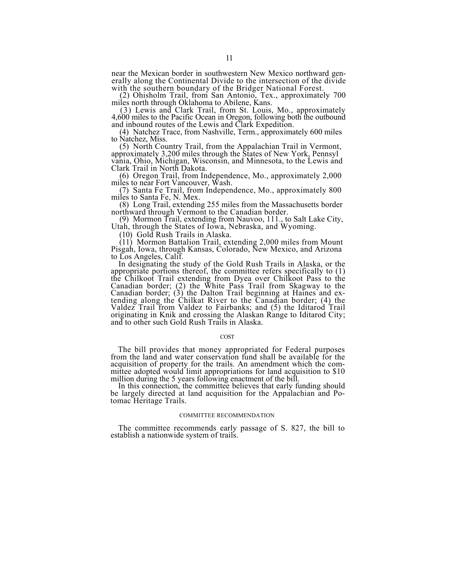near the Mexican border in southwestern New Mexico northward generally along the Continental Divide to the intersection of the divide with the southern boundary of the Bridger National Forest.

with the southern boundary of the Bridger National Forest.<br>
(2) Ohisholm Trail, from San Antonio, Tex., approximately 700<br>
miles north through Oklahoma to Abilene, Kans.<br>
(3) Lewis and Clark Trail, from St. Louis, Mo., app

and inbound routes of the Lewis and Clark Expedition. (4) Natchez Trace, from Nashville, Term., approximately 600 miles to Natchez, Miss.

(5) North Country Trail, from the Appalachian Trail in Vermont, approximately 3,200 miles through the States of New York, Pennsyl vania, Ohio, Michigan, Wisconsin, and Minnesota, to the Lewis and Clark Trail in North Dakota.

(6) Oregon Trail, from Independence, Mo., approximately 2,000 miles to near Fort Vancouver, Wash.

(7) Santa Fe Trail, from Independence, Mo., approximately 800 miles to Santa Fe, N. Mex.<br>(8) Long Trail, extending 255 miles from the Massachusetts border

northward through Vermont to the Canadian border.<br>
(9) Mormon Trail, extending from Nauvoo, 111., to Salt Lake City,<br>
Utah, through the States of Iowa, Nebraska, and Wyoming.

(10) Gold Rush Trails in Alaska.

(11) Mormon Battalion Trail, extending 2,000 miles from Mount Pisgah, Iowa, through Kansas, Colorado, New Mexico, and Arizona

to Los Angeles, Calif.<br>In designating the study of the Gold Rush Trails in Alaska, or the<br>appropriate portions thereof, the committee refers specifically to (1)<br>the Chilkoot Trail extending from Dyea over Chilkoot Pass to Valdez Trail from Valdez to Fairbanks; and (5) the Iditarod Trail originating in Knik and crossing the Alaskan Range to Iditarod City; and to other such Gold Rush Trails in Alaska.

### COST

The bill provides that money appropriated for Federal purposes from the land and water conservation fund shall be available for the acquisition of property for the trails. An amendment which the committee adopted would limit appropriations for land acquisition to \$10

million during the 5 years following enactment of the bill. In this connection, the committee believes that early funding should be largely directed at land acquisition for the Appalachian and Po- tomac Heritage Trails.

## COMMITTEE RECOMMENDATION

The committee recommends early passage of S. 827, the bill to establish a nationwide system of trails.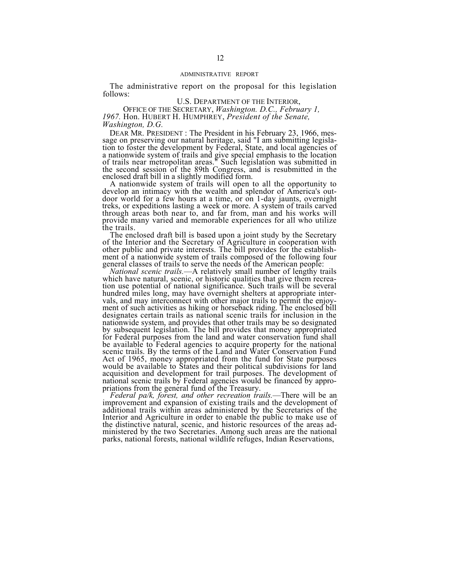## ADMINISTRATIVE REPORT

The administrative report on the proposal for this legislation follows:

U.S. DEPARTMENT OF THE INTERIOR, OFFICE OF THE SECRETARY, *Washington. D.C., February 1, 1967.* Hon. HUBERT H. HUMPHREY, *President of the Senate, Washington, D.G.*

DEAR MR. PRESIDENT : The President in his February 23, 1966, message on preserving our natural heritage, said "I am submitting legislation to foster the development by Federal, State, and local agencies of a nationwide system of trails and give special emphasis to the location of trails near metropolitan areas." Such legislation was submitted in

the second session of the 89th Congress, and is resubmitted in the enclosed draft bill in a slightly modified form.<br>A nationwide system of trails will open to all the opportunity to develop an intimacy with the wealth and door world for a few hours at a time, or on 1-day jaunts, overnight treks, or expeditions lasting a week or more. A system of trails carved through areas both near to, and far from, man and his works will provide many varied and memorable experiences for all who utilize the trails.

The enclosed draft bill is based upon a joint study by the Secretary of the Interior and the Secretary of Agriculture in cooperation with other public and private interests. The bill provides for the establishment of a nationwide system of trails composed of the following four general classes of trails to serve the needs of the American people:

National scenic trails.—A relatively small number of lengthy trails<br>which have natural, scenic, or historic qualities that give them recrea-<br>tion use potential of national significance. Such trails will be several hundred miles long, may have overnight shelters at appropriate intervals, and may interconnect with other major trails to permit the enjoy- ment of such activities as hiking or horseback riding. The enclosed bill designates certain trails as national scenic trails for inclusion in the nationwide system, and provides that other trails may be so designated by subsequent legislation. The bill provides that money appropriated for Federal purposes from the land and water conservation fund shall be available to Federal agencies to acquire property for the national scenic trails. By the terms of the Land and Water Conservation Fund Act of 1965, money appropriated from the fund for State purposes would be available to States and their political subdivisions for land acquisition and development for trail purposes. The development of national scenic trails by Federal agencies would be financed by appro-<br>priations from the general fund of the Treasury.<br>*Federal pa/k, forest, and other recreation trails.*—There will be an

improvement and expansion of existing trails and the development of additional trails within areas administered by the Secretaries of the Interior and Agriculture in order to enable the public to make use of the distinctive natural, scenic, and historic resources of the areas administered by the two Secretaries. Among such areas are the national parks, national forests, national wildlife refuges, Indian Reservations,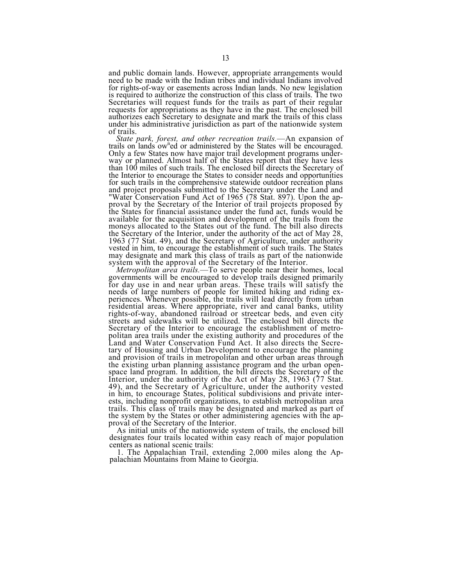and public domain lands. However, appropriate arrangements would need to be made with the Indian tribes and individual Indians involved for rights-of-way or easements across Indian lands. No new legislation is required to authorize the construction of this class of trails. The two<br>Secretaries will request funds for the trails as part of their regular requests for appropriations as they have in the past. The enclosed bill authorizes each Secretary to designate and mark the trails of this class under his administrative jurisdiction as part of the nationwide system

of trails.<br>State park, forest, and other recreation trails.—An expansion of *State park, forest, and other recreation trails.*—An expansion of trails on lands ow<sup>n</sup>ed or administered by the States will be encouraged. trails on lands ow<sup>n</sup>ed or administered by the States will be encouraged. Only a few States now have major trail development programs under-Only a few States now have major trail development programs under-<br>way or planned. Almost half of the States report that they have less<br>than 100 miles of such trails. The enclosed bill directs the Secretary of<br>the Interior and project proposals submitted to the Secretary under the Land and "Water Conservation Fund Act of 1965 (78 Stat. 897). Upon the approval by the Secretary of the Interior of trail projects proposed by the States for financial assistance under the fund act, funds would be available for the acquisition and development of the trails from the moneys allocated to the States out of the fund. The bill also directs the Secretary of the Interior, under the authority of the act of May 28, 1963 (77 Stat. 49), and the Secretary of Agriculture, under authority vested in him, to encourage the establishment of such trails. The States may de

may designate and mark this class of trails as part of the nationwide<br>system with the approval of the Secretary of the Interior.<br>*Metropolitan area trails*.—To serve people near their homes, local<br>governments will be encou needs of large numbers of people for limited hiking and riding experiences. Whenever possible, the trails will lead directly from urban residential areas. Where appropriate, river and canal banks, utility rights-of-way, abandoned railroad or streetcar beds, and even city streets and sidewalks will be utilized. The enclosed bill directs the Secretary of the Interior to encourage the establishment of metropolitan area trails under the existing authority and procedures of the Land and Water Conservation Fund Act. It also directs the Secretary of Housing and Urban Development to encourage the planning and provision of trails in metropolitan and other urban areas through and provision of trails in metropolitan and other urban areas through the existing urban planning assistance program and the urban open-<br>space land program. In addition, the bill directs the Secretary of the Interior, under the authority of the Act of May 28, 1963 (77 Stat. 49), and the Secretary of Agriculture, under the authority vested in him, to encourage States, political subdivisions and private intertrails. This class of trails may be designated and marked as part of the system by the States or other administering agencies with the ap-

proval of the Secretary of the Interior.<br>As initial units of the nationwide system of trails, the enclosed bill<br>designates four trails located within easy reach of major population<br>centers as national scenic trails:

1. The Appalachian Trail, extending 2,000 miles along the Ap- palachian Mountains from Maine to Georgia.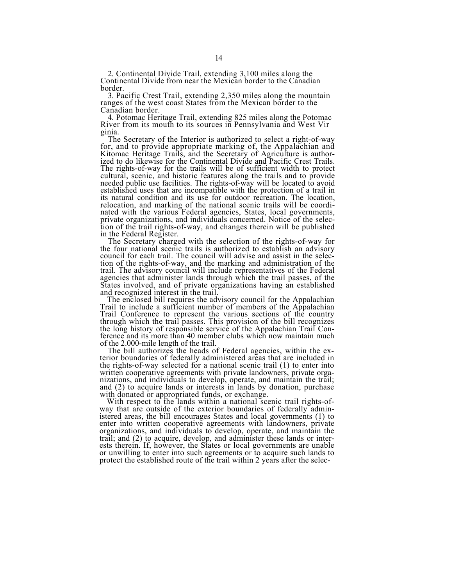2. Continental Divide Trail, extending 3,100 miles along the Continental Divide from near the Mexican border to the Canadian border.

3. Pacific Crest Trail, extending 2,350 miles along the mountain ranges of the west coast States from the Mexican border to the

Canadian border.<br>4. Potomac Heritage Trail, extending 825 miles along the Potomac

River from its mouth to its sources in Pennsylvania and West Vir<br>ginia.<br>The Secretary of the Interior is authorized to select a right-of-way<br>for, and to provide appropriate marking of, the Appalachian and Kitomac Heritage Trails, and the Secretary of Agriculture is author- ized to do likewise for the Continental Divide and Pacific Crest Trails. The rights-of-way for the trails will be of sufficient width to protect cultural, scenic, and historic features along the trails and to provide needed public use facilities. The rights-of-way will be located to avoid established uses that are incompatible with the protection of a trail in its natural condition and its use for outdoor recreation. The location, relocation, and marking of the national scenic trails will be coordinated with the various Federal agencies, States, local governments, private organizations, and individuals concerned. Notice of the selection of the trail rights-of-way, and changes therein will be published

in the Federal Register.<br>The Secretary charged with the selection of the rights-of-way for<br>the four national scenic trails is authorized to establish an advisory<br>council for each trail. The council will advise and assist i tion of the rights-of-way, and the marking and administration of the agencies that administer lands through which the trail passes, of the States involved, and of private organizations having an established and recognized interest in the trail.<br>The enclosed bill requires the advisory counci

Trail to include a sufficient number of members of the Appalachian<br>Trail Conference to represent the various sections of the country<br>through which the trail passes. This provision of the bill recognizes the long history of responsible service of the Appalachian Trail Conference and its more than 40 member clubs which now maintain much of the 2.000-mile length of the trail.

The bill authorizes the heads of Federal agencies, within the exterior boundaries of federally administered areas that are included in the rights-of-way selected for a national scenic trail (1) to enter into written cooperative agreements with private landowners, private organizations, and individuals to develop, operate, and maintain the trail; and (2) to acquire lands or interests in lands by donation, purchase with donated or appropriated funds, or exchange.<br>With respect to the lands within a national scenic trail rights-of-<br>way that are outside of the exterior

istered areas, the bill encourages States and local governments (1) to<br>enter into written cooperative agreements with landowners, private<br>organizations, and individuals to develop, operate, and maintain the trail; and (2) to acquire, develop, and administer these lands or interests therein. If, however, the States or local governments are unable or unwilling to enter into such agreements or to acquire such lands to protect the established route of the trail within 2 years after the selec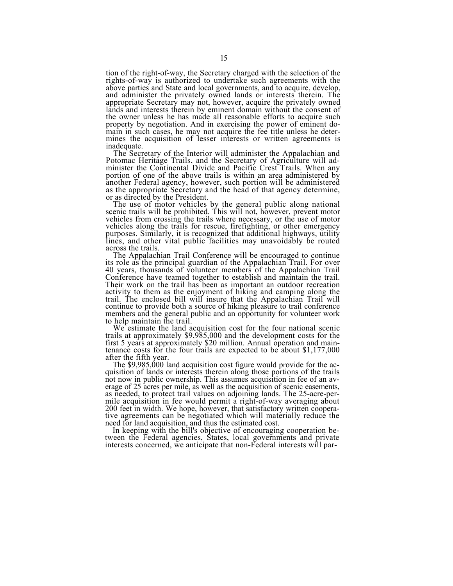tion of the right-of-way, the Secretary charged with the selection of the rights-of-way is authorized to undertake such agreements with the above parties and State and local governments, and to acquire, develop, and administer the privately owned lands or interests therein. The lands and interests therein by eminent domain without the consent of the owner unless he has made all reasonable efforts to acquire such property by negotiation. And in exercising the power of eminent domain in such cases, he may not acquire the fee title unless he deter-<br>mines the acquisition of lesser interests or written agreements is

mines the acquisition of lesser interests or written agreements is inadequate.<br>The Secretary of the Interior will administer the Appalachian and Potomac Heritage Trails, and the Secretary of Agriculture will administer the Continental Divide and Pacific Crest Trails. When any portion of one of the above trails is within an area administered by another Federal agency, however, such portion will be administered another Federal agency, however, such portion will be administered as the appropriate Secretary and the head of that agency determine, or as directed by the President.

The use of motor vehicles by the general public along national scenic trails will be prohibited. This will not, however, prevent motor vehicles from crossing the trails where necessary, or the use of motor vehicles along the trails for rescue, firefighting, or other emergency purposes. Similarly, it is recognized that additional highways, utility lines, and other vital public facilities may unavoidably be routed across the trails.

The Appalachian Trail Conference will be encouraged to continue its role as the principal guardian of the Appalachian Trail. For over 40 years, thousands of volunteer members of the Appalachian Trail Conference have teamed together to establish and maintain the trail.<br>Their work on the trail has been as important an outdoor recreation Their work on the trail has been as important an outdoor recreation activity to them as the enjoyment of hiking and camping along the trail. The enclosed bill will insure that the Appalachian Trail will continue to provide both a source of hiking pleasure to trail conference members and the general public and an opportunity for volunteer work to help maintain the trail.

to help maintain the trail. We estimate the land acquisition cost for the four national scenic trails at approximately \$9,985,000 and the development costs for the<br>first 5 years at approximately \$20 million. Annual operation and main-<br>tenance costs for the four trails are expected to be about \$1,177,000<br>after the fi

not now in public ownership. This assumes acquisition in fee of an average of 25 acres per mile, as well as the acquisition of scenic easements, as needed, to protect trail values on adjoining lands. The 25-acre-per-<br>mile acquisition in fee would permit a right-of-way averaging about<br>200 feet in width. We hope, however, that satisfactory written coopera-200 feet in width. We hope, however, that satisfactory written cooperative agreements can be negotiated which will materially reduce the

need for land acquisition, and thus the estimated cost.<br>In keeping with the bill's objective of encouraging cooperation be-<br>tween the Federal agencies, States, local governments and private interests concerned, we anticipate that non-Federal interests will par